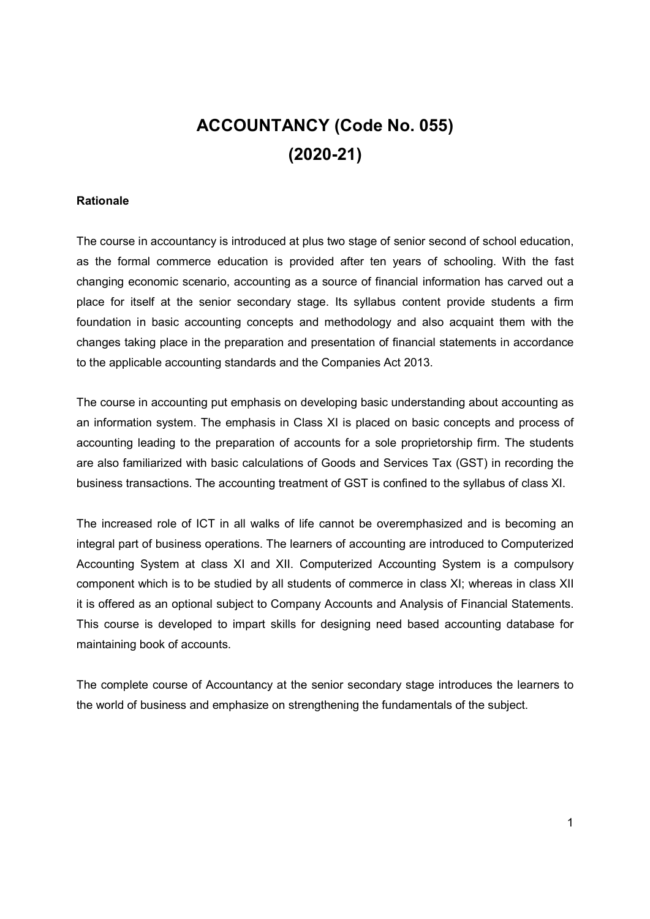# ACCOUNTANCY (Code No. 055) (2020-21)

## Rationale

The course in accountancy is introduced at plus two stage of senior second of school education, as the formal commerce education is provided after ten years of schooling. With the fast changing economic scenario, accounting as a source of financial information has carved out a place for itself at the senior secondary stage. Its syllabus content provide students a firm foundation in basic accounting concepts and methodology and also acquaint them with the changes taking place in the preparation and presentation of financial statements in accordance to the applicable accounting standards and the Companies Act 2013.

The course in accounting put emphasis on developing basic understanding about accounting as an information system. The emphasis in Class XI is placed on basic concepts and process of accounting leading to the preparation of accounts for a sole proprietorship firm. The students are also familiarized with basic calculations of Goods and Services Tax (GST) in recording the business transactions. The accounting treatment of GST is confined to the syllabus of class XI.

The increased role of ICT in all walks of life cannot be overemphasized and is becoming an integral part of business operations. The learners of accounting are introduced to Computerized Accounting System at class XI and XII. Computerized Accounting System is a compulsory component which is to be studied by all students of commerce in class XI; whereas in class XII it is offered as an optional subject to Company Accounts and Analysis of Financial Statements. This course is developed to impart skills for designing need based accounting database for maintaining book of accounts.

The complete course of Accountancy at the senior secondary stage introduces the learners to the world of business and emphasize on strengthening the fundamentals of the subject.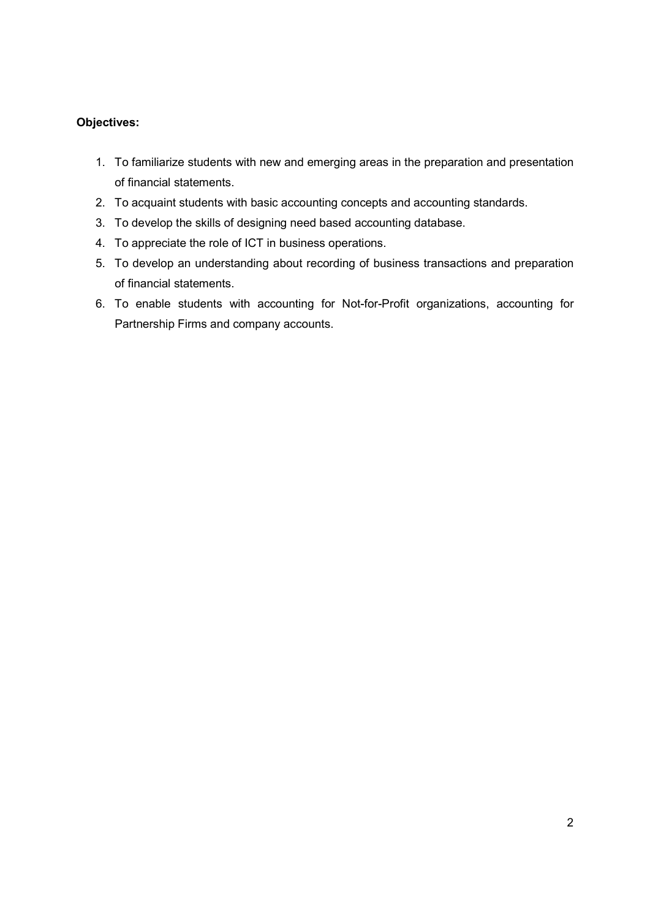## Objectives:

- 1. To familiarize students with new and emerging areas in the preparation and presentation of financial statements.
- 2. To acquaint students with basic accounting concepts and accounting standards.
- 3. To develop the skills of designing need based accounting database.
- 4. To appreciate the role of ICT in business operations.
- 5. To develop an understanding about recording of business transactions and preparation of financial statements.
- 6. To enable students with accounting for Not-for-Profit organizations, accounting for Partnership Firms and company accounts.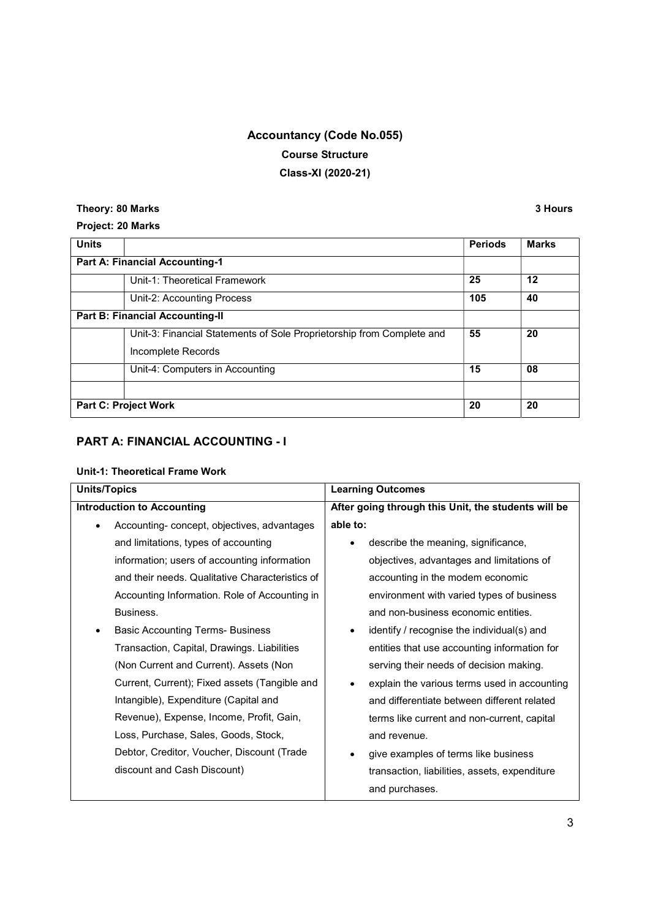## Accountancy (Code No.055) Course Structure Class-XI (2020-21)

## Theory: 80 Marks 3 Hours

Project: 20 Marks

| <b>Units</b>                |                                                                       | <b>Periods</b> | <b>Marks</b> |
|-----------------------------|-----------------------------------------------------------------------|----------------|--------------|
|                             | <b>Part A: Financial Accounting-1</b>                                 |                |              |
|                             | Unit-1: Theoretical Framework                                         | 25             | 12           |
|                             | Unit-2: Accounting Process                                            | 105            | 40           |
|                             | <b>Part B: Financial Accounting-II</b>                                |                |              |
|                             | Unit-3: Financial Statements of Sole Proprietorship from Complete and | 55             | 20           |
|                             | Incomplete Records                                                    |                |              |
|                             | Unit-4: Computers in Accounting                                       | 15             | 08           |
|                             |                                                                       |                |              |
| <b>Part C: Project Work</b> |                                                                       | 20             | 20           |

## PART A: FINANCIAL ACCOUNTING - I

## Unit-1: Theoretical Frame Work

| <b>Units/Topics</b>                                     | <b>Learning Outcomes</b>                            |  |
|---------------------------------------------------------|-----------------------------------------------------|--|
| <b>Introduction to Accounting</b>                       | After going through this Unit, the students will be |  |
| Accounting-concept, objectives, advantages<br>$\bullet$ | able to:                                            |  |
| and limitations, types of accounting                    | describe the meaning, significance,                 |  |
| information; users of accounting information            | objectives, advantages and limitations of           |  |
| and their needs. Qualitative Characteristics of         | accounting in the modem economic                    |  |
| Accounting Information. Role of Accounting in           | environment with varied types of business           |  |
| Business.                                               | and non-business economic entities.                 |  |
| <b>Basic Accounting Terms- Business</b>                 | identify / recognise the individual(s) and          |  |
| Transaction, Capital, Drawings. Liabilities             | entities that use accounting information for        |  |
| (Non Current and Current). Assets (Non                  | serving their needs of decision making.             |  |
| Current, Current); Fixed assets (Tangible and           | explain the various terms used in accounting        |  |
| Intangible), Expenditure (Capital and                   | and differentiate between different related         |  |
| Revenue), Expense, Income, Profit, Gain,                | terms like current and non-current, capital         |  |
| Loss, Purchase, Sales, Goods, Stock,                    | and revenue.                                        |  |
| Debtor, Creditor, Voucher, Discount (Trade              | give examples of terms like business                |  |
| discount and Cash Discount)                             | transaction, liabilities, assets, expenditure       |  |
|                                                         | and purchases.                                      |  |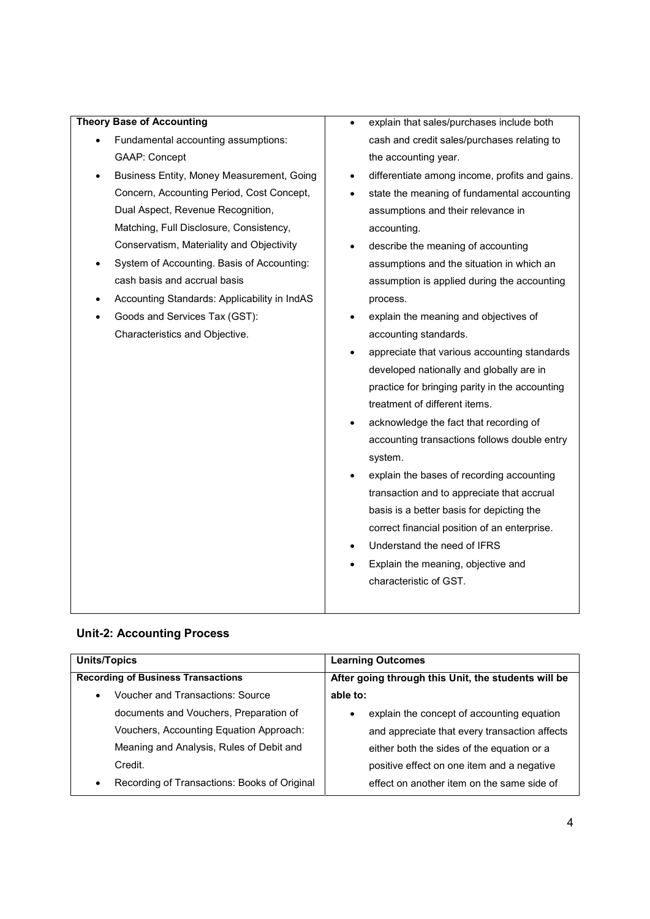#### Theory Base of Accounting Fundamental accounting assumptions: GAAP: Concept Business Entity, Money Measurement, Going Concern, Accounting Period, Cost Concept, Dual Aspect, Revenue Recognition, Matching, Full Disclosure, Consistency, Conservatism, Materiality and Objectivity • System of Accounting. Basis of Accounting: cash basis and accrual basis Accounting Standards: Applicability in IndAS Goods and Services Tax (GST): Characteristics and Objective. explain that sales/purchases include both cash and credit sales/purchases relating to the accounting year. differentiate among income, profits and gains. state the meaning of fundamental accounting assumptions and their relevance in accounting. describe the meaning of accounting assumptions and the situation in which an assumption is applied during the accounting process. explain the meaning and objectives of accounting standards. appreciate that various accounting standards developed nationally and globally are in practice for bringing parity in the accounting treatment of different items. acknowledge the fact that recording of accounting transactions follows double entry system. explain the bases of recording accounting transaction and to appreciate that accrual basis is a better basis for depicting the correct financial position of an enterprise. Understand the need of IFRS Explain the meaning, objective and characteristic of GST.

## Unit-2: Accounting Process

| <b>Units/Topics</b>                          | <b>Learning Outcomes</b>                                |  |  |
|----------------------------------------------|---------------------------------------------------------|--|--|
| <b>Recording of Business Transactions</b>    | After going through this Unit, the students will be     |  |  |
| Voucher and Transactions: Source             | able to:                                                |  |  |
| documents and Vouchers, Preparation of       | explain the concept of accounting equation<br>$\bullet$ |  |  |
| Vouchers, Accounting Equation Approach:      | and appreciate that every transaction affects           |  |  |
| Meaning and Analysis, Rules of Debit and     | either both the sides of the equation or a              |  |  |
| Credit.                                      | positive effect on one item and a negative              |  |  |
| Recording of Transactions: Books of Original | effect on another item on the same side of              |  |  |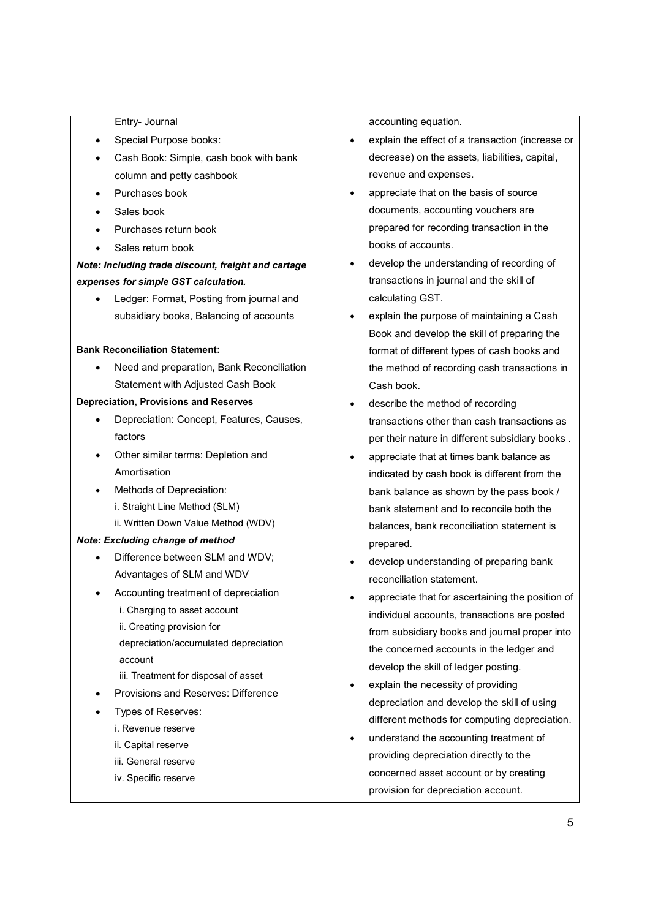#### Entry- Journal

- Special Purpose books:
- Cash Book: Simple, cash book with bank column and petty cashbook
- Purchases book
- Sales book
- Purchases return book
- Sales return book

## Note: Including trade discount, freight and cartage expenses for simple GST calculation.

 Ledger: Format, Posting from journal and subsidiary books, Balancing of accounts

#### Bank Reconciliation Statement:

 Need and preparation, Bank Reconciliation Statement with Adjusted Cash Book

#### Depreciation, Provisions and Reserves

- Depreciation: Concept, Features, Causes, factors
- Other similar terms: Depletion and Amortisation
- Methods of Depreciation:
	- i. Straight Line Method (SLM)
	- ii. Written Down Value Method (WDV)

#### Note: Excluding change of method

- Difference between SLM and WDV; Advantages of SLM and WDV
- Accounting treatment of depreciation
	- i. Charging to asset account
	- ii. Creating provision for
	- depreciation/accumulated depreciation account
	- iii. Treatment for disposal of asset
- Provisions and Reserves: Difference
- Types of Reserves:
	- i. Revenue reserve
	- ii. Capital reserve
	- iii. General reserve
	- iv. Specific reserve

### accounting equation.

- explain the effect of a transaction (increase or decrease) on the assets, liabilities, capital, revenue and expenses.
- appreciate that on the basis of source documents, accounting vouchers are prepared for recording transaction in the books of accounts.
- develop the understanding of recording of transactions in journal and the skill of calculating GST.
- explain the purpose of maintaining a Cash Book and develop the skill of preparing the format of different types of cash books and the method of recording cash transactions in Cash book.
- describe the method of recording transactions other than cash transactions as per their nature in different subsidiary books .
- appreciate that at times bank balance as indicated by cash book is different from the bank balance as shown by the pass book / bank statement and to reconcile both the balances, bank reconciliation statement is prepared.
- develop understanding of preparing bank reconciliation statement.
- appreciate that for ascertaining the position of individual accounts, transactions are posted from subsidiary books and journal proper into the concerned accounts in the ledger and develop the skill of ledger posting.
- explain the necessity of providing depreciation and develop the skill of using different methods for computing depreciation.
- understand the accounting treatment of providing depreciation directly to the concerned asset account or by creating provision for depreciation account.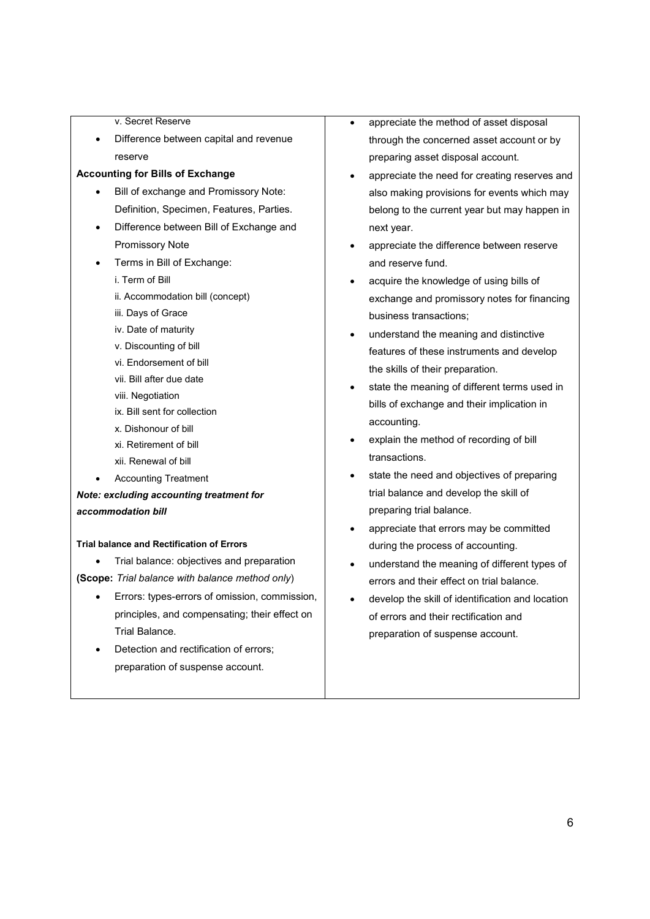- v. Secret Reserve
- Difference between capital and revenue reserve

#### Accounting for Bills of Exchange

- Bill of exchange and Promissory Note: Definition, Specimen, Features, Parties.
- Difference between Bill of Exchange and Promissory Note
- Terms in Bill of Exchange:
	- i. Term of Bill
	- ii. Accommodation bill (concept)
	- iii. Days of Grace
	- iv. Date of maturity
	- v. Discounting of bill
	- vi. Endorsement of bill
	- vii. Bill after due date
	- viii. Negotiation
	- ix. Bill sent for collection
	- x. Dishonour of bill
	- xi. Retirement of bill
	- xii. Renewal of bill
- Accounting Treatment

Note: excluding accounting treatment for accommodation bill

#### Trial balance and Rectification of Errors

- Trial balance: objectives and preparation
- (Scope: Trial balance with balance method only)
	- Errors: types-errors of omission, commission, principles, and compensating; their effect on Trial Balance.
	- Detection and rectification of errors; preparation of suspense account.
- appreciate the method of asset disposal through the concerned asset account or by preparing asset disposal account.
- appreciate the need for creating reserves and also making provisions for events which may belong to the current year but may happen in next year.
- appreciate the difference between reserve and reserve fund.
- acquire the knowledge of using bills of exchange and promissory notes for financing business transactions;
- understand the meaning and distinctive features of these instruments and develop the skills of their preparation.
- state the meaning of different terms used in bills of exchange and their implication in accounting.
- explain the method of recording of bill transactions.
- state the need and objectives of preparing trial balance and develop the skill of preparing trial balance.
- appreciate that errors may be committed during the process of accounting.
- understand the meaning of different types of errors and their effect on trial balance.
- develop the skill of identification and location of errors and their rectification and preparation of suspense account.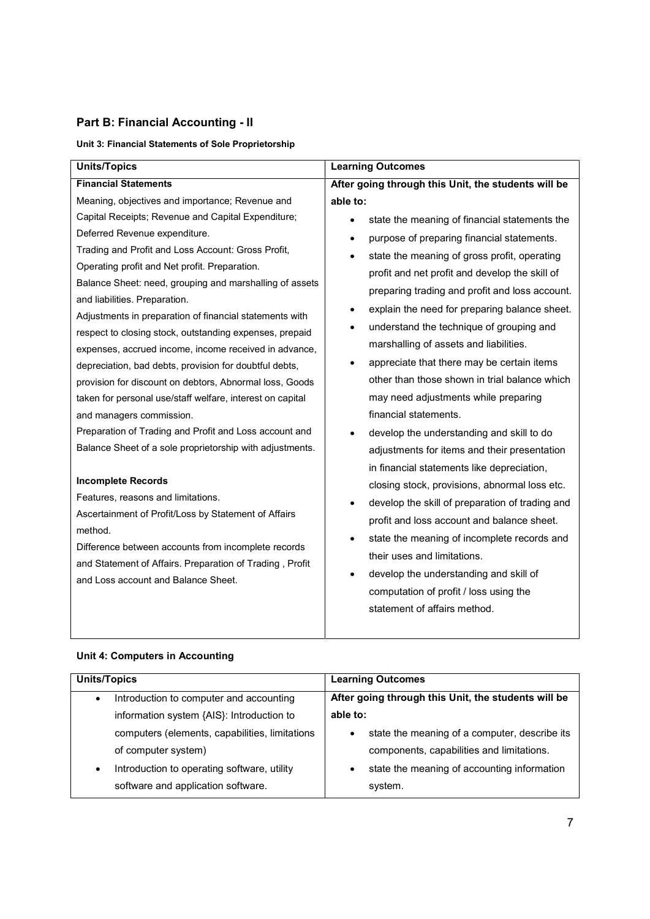## Part B: Financial Accounting - II

## Unit 3: Financial Statements of Sole Proprietorship

| <b>Units/Topics</b>                                       | <b>Learning Outcomes</b>                                  |  |  |
|-----------------------------------------------------------|-----------------------------------------------------------|--|--|
| <b>Financial Statements</b>                               | After going through this Unit, the students will be       |  |  |
| Meaning, objectives and importance; Revenue and           | able to:                                                  |  |  |
| Capital Receipts; Revenue and Capital Expenditure;        | state the meaning of financial statements the             |  |  |
| Deferred Revenue expenditure.                             | purpose of preparing financial statements.<br>$\bullet$   |  |  |
| Trading and Profit and Loss Account: Gross Profit,        | state the meaning of gross profit, operating<br>$\bullet$ |  |  |
| Operating profit and Net profit. Preparation.             | profit and net profit and develop the skill of            |  |  |
| Balance Sheet: need, grouping and marshalling of assets   | preparing trading and profit and loss account.            |  |  |
| and liabilities. Preparation.                             | explain the need for preparing balance sheet.             |  |  |
| Adjustments in preparation of financial statements with   |                                                           |  |  |
| respect to closing stock, outstanding expenses, prepaid   | understand the technique of grouping and<br>$\bullet$     |  |  |
| expenses, accrued income, income received in advance,     | marshalling of assets and liabilities.                    |  |  |
| depreciation, bad debts, provision for doubtful debts,    | appreciate that there may be certain items<br>$\bullet$   |  |  |
| provision for discount on debtors, Abnormal loss, Goods   | other than those shown in trial balance which             |  |  |
| taken for personal use/staff welfare, interest on capital | may need adjustments while preparing                      |  |  |
| and managers commission.                                  | financial statements.                                     |  |  |
| Preparation of Trading and Profit and Loss account and    | develop the understanding and skill to do                 |  |  |
| Balance Sheet of a sole proprietorship with adjustments.  | adjustments for items and their presentation              |  |  |
|                                                           | in financial statements like depreciation,                |  |  |
| <b>Incomplete Records</b>                                 | closing stock, provisions, abnormal loss etc.             |  |  |
| Features, reasons and limitations.                        | develop the skill of preparation of trading and           |  |  |
| Ascertainment of Profit/Loss by Statement of Affairs      | profit and loss account and balance sheet.                |  |  |
| method.                                                   | state the meaning of incomplete records and<br>٠          |  |  |
| Difference between accounts from incomplete records       | their uses and limitations.                               |  |  |
| and Statement of Affairs. Preparation of Trading, Profit  | develop the understanding and skill of<br>٠               |  |  |
| and Loss account and Balance Sheet.                       | computation of profit / loss using the                    |  |  |
|                                                           |                                                           |  |  |
|                                                           | statement of affairs method.                              |  |  |

## Unit 4: Computers in Accounting

| <b>Units/Topics</b>                                      | <b>Learning Outcomes</b>                                 |
|----------------------------------------------------------|----------------------------------------------------------|
| Introduction to computer and accounting<br>$\bullet$     | After going through this Unit, the students will be      |
| information system {AIS}: Introduction to                | able to:                                                 |
| computers (elements, capabilities, limitations           | state the meaning of a computer, describe its<br>٠       |
| of computer system)                                      | components, capabilities and limitations.                |
| Introduction to operating software, utility<br>$\bullet$ | state the meaning of accounting information<br>$\bullet$ |
| software and application software.                       | system.                                                  |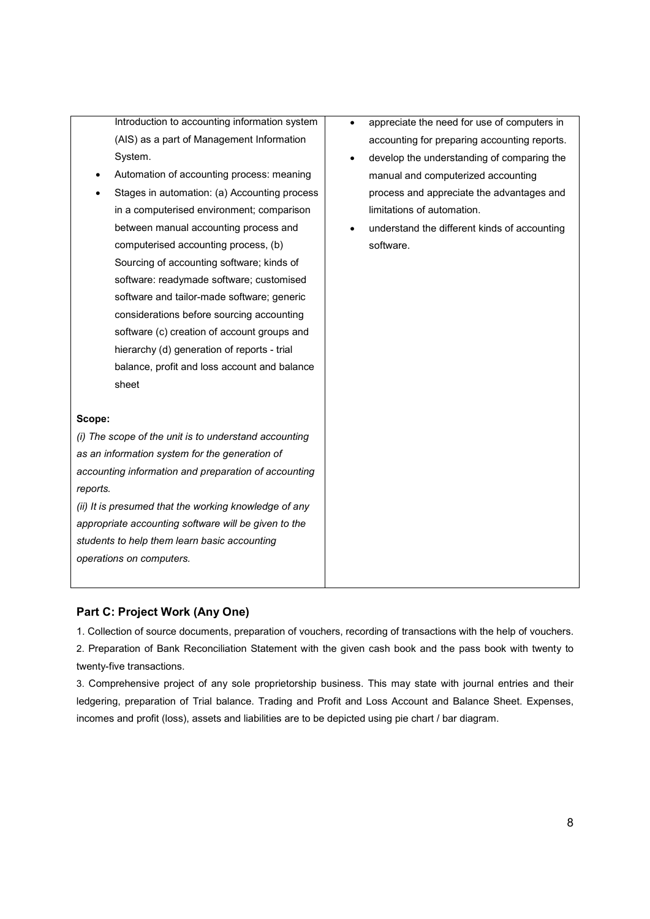Introduction to accounting information system (AIS) as a part of Management Information System.

- Automation of accounting process: meaning
- Stages in automation: (a) Accounting process in a computerised environment; comparison between manual accounting process and computerised accounting process, (b) Sourcing of accounting software; kinds of software: readymade software; customised software and tailor-made software; generic considerations before sourcing accounting software (c) creation of account groups and hierarchy (d) generation of reports - trial balance, profit and loss account and balance sheet
- Scope:

(i) The scope of the unit is to understand accounting as an information system for the generation of accounting information and preparation of accounting reports.

(ii) It is presumed that the working knowledge of any appropriate accounting software will be given to the students to help them learn basic accounting operations on computers.

- appreciate the need for use of computers in accounting for preparing accounting reports.
- develop the understanding of comparing the manual and computerized accounting process and appreciate the advantages and limitations of automation.
- understand the different kinds of accounting software.

## Part C: Project Work (Any One)

1. Collection of source documents, preparation of vouchers, recording of transactions with the help of vouchers. 2. Preparation of Bank Reconciliation Statement with the given cash book and the pass book with twenty to twenty-five transactions.

3. Comprehensive project of any sole proprietorship business. This may state with journal entries and their ledgering, preparation of Trial balance. Trading and Profit and Loss Account and Balance Sheet. Expenses, incomes and profit (loss), assets and liabilities are to be depicted using pie chart / bar diagram.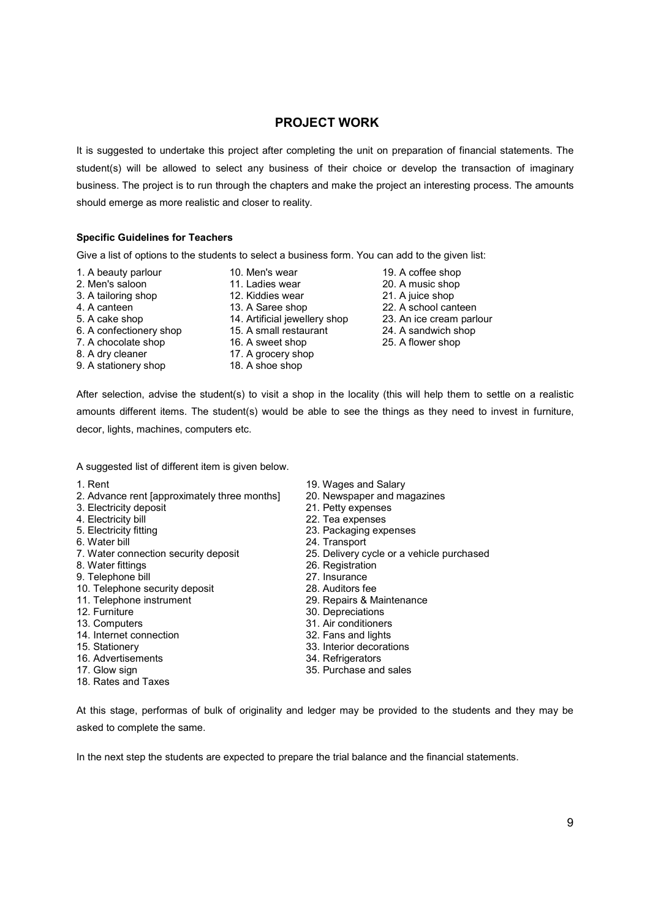## PROJECT WORK

It is suggested to undertake this project after completing the unit on preparation of financial statements. The student(s) will be allowed to select any business of their choice or develop the transaction of imaginary business. The project is to run through the chapters and make the project an interesting process. The amounts should emerge as more realistic and closer to reality.

#### Specific Guidelines for Teachers

Give a list of options to the students to select a business form. You can add to the given list:

- 1. A beauty parlour 10. Men's wear 19. A coffee shop
- 
- 3. A tailoring shop 12. Kiddies wear 21. A juice shop
- 
- 
- 6. A confectionery shop 15. A small restaurant 24. A sandwich shop
- 7. A chocolate shop 16. A sweet shop 25. A flower shop
- 
- 9. A stationery shop
- 2. Men's saloon 11. Ladies wear 20. A music shop
	-
	-
	-
	-
	-
- 8. A dry cleaner 17. A grocery shop<br>9. A stationery shop 18. A shoe shop
- 
- 
- 
- 4. A canteen 13. A Saree shop 22. A school canteen
- 5. A cake shop 14. Artificial jewellery shop 23. An ice cream parlour
	-
	-

After selection, advise the student(s) to visit a shop in the locality (this will help them to settle on a realistic amounts different items. The student(s) would be able to see the things as they need to invest in furniture, decor, lights, machines, computers etc.

A suggested list of different item is given below.

- 2. Advance rent [approximately three months] 20. Newspaper and magazines
- 3. Electricity deposit 21. Petty expenses
- 
- 4. Electricity bill 22. Tea expenses<br>
5. Electricity fitting 23. Packaging exp 5. Electricity fitting and the control of the 23. Packaging expenses<br>6. Water bill 24. Transport
- 
- 6. Water bill 24. Transport
- 8. Water fittings 26. Registration
- 
- 9. Telephone bill 27. Insurance<br>10. Telephone security deposit 28. Auditors fee 10. Telephone security deposit
- 11. Telephone instrument 29. Repairs & Maintenance
- 
- 13. Computers 31. Air conditioners
- 14. Internet connection 14. Internet connection
- 
- 16. Advertisements 34. Refrigerators
- 
- 18. Rates and Taxes
- 1. Rent 19. Wages and Salary
	-
	-
	-
	-
	-
	- 25. Delivery cycle or a vehicle purchased
	-
	-
	-
	-
- 12. Furniture 30. Depreciations
	-
	-
- 15. Stationery 33. Interior decorations
	-
- 17. Glow sign 17. Glow sign 17. Glow sign 17. Glow sign 17. Glow sign 17. Glow sign 1

At this stage, performas of bulk of originality and ledger may be provided to the students and they may be asked to complete the same.

In the next step the students are expected to prepare the trial balance and the financial statements.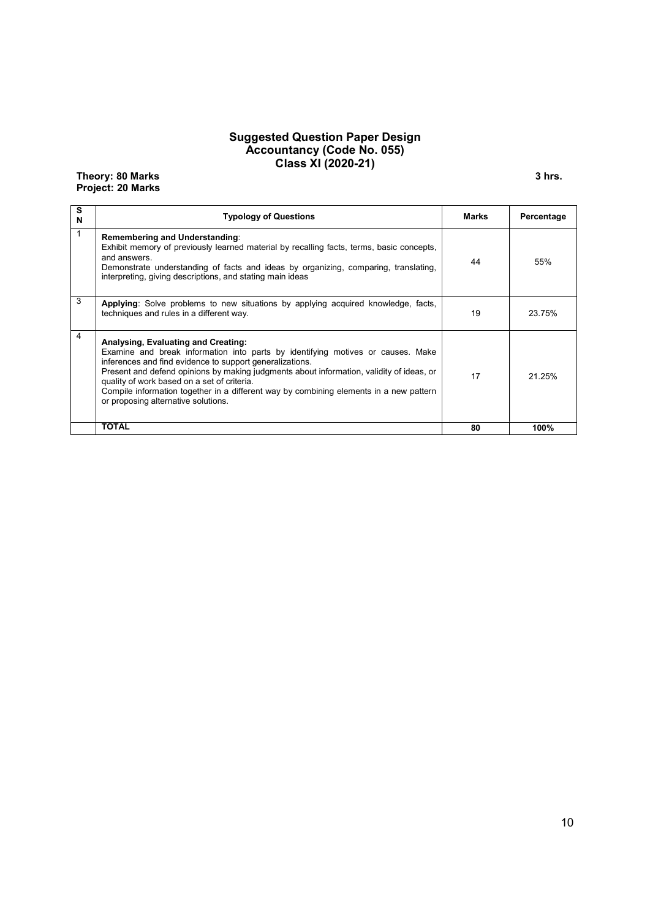### Suggested Question Paper Design Accountancy (Code No. 055) Class XI (2020-21)

#### Theory: 80 Marks 3 hrs. Project: 20 Marks

| s<br>N | <b>Typology of Questions</b>                                                                                                                                                                                                                                                                                                                                                                                                                                   | Marks | Percentage |
|--------|----------------------------------------------------------------------------------------------------------------------------------------------------------------------------------------------------------------------------------------------------------------------------------------------------------------------------------------------------------------------------------------------------------------------------------------------------------------|-------|------------|
| 1      | Remembering and Understanding:<br>Exhibit memory of previously learned material by recalling facts, terms, basic concepts,<br>and answers.<br>Demonstrate understanding of facts and ideas by organizing, comparing, translating,<br>interpreting, giving descriptions, and stating main ideas                                                                                                                                                                 | 44    | 55%        |
| 3      | Applying: Solve problems to new situations by applying acquired knowledge, facts,<br>techniques and rules in a different way.                                                                                                                                                                                                                                                                                                                                  | 19    | 23.75%     |
| 4      | Analysing, Evaluating and Creating:<br>Examine and break information into parts by identifying motives or causes. Make<br>inferences and find evidence to support generalizations.<br>Present and defend opinions by making judgments about information, validity of ideas, or<br>quality of work based on a set of criteria.<br>Compile information together in a different way by combining elements in a new pattern<br>or proposing alternative solutions. | 17    | 21.25%     |
|        | <b>TOTAL</b>                                                                                                                                                                                                                                                                                                                                                                                                                                                   | 80    | 100%       |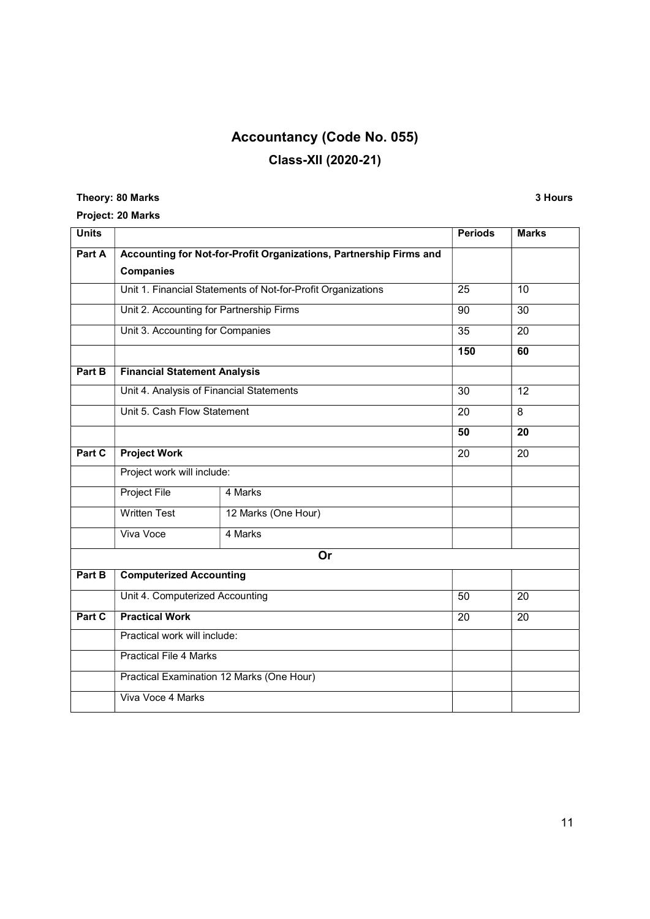## Accountancy (Code No. 055) Class-XII (2020-21)

## Theory: 80 Marks 3 Hours

Project: 20 Marks

| <b>Units</b> |                                                                    |                                                              | <b>Periods</b>  | <b>Marks</b>    |
|--------------|--------------------------------------------------------------------|--------------------------------------------------------------|-----------------|-----------------|
| Part A       | Accounting for Not-for-Profit Organizations, Partnership Firms and |                                                              |                 |                 |
|              | <b>Companies</b>                                                   |                                                              |                 |                 |
|              |                                                                    | Unit 1. Financial Statements of Not-for-Profit Organizations | 25              | 10              |
|              | Unit 2. Accounting for Partnership Firms                           |                                                              | 90              | 30              |
|              | Unit 3. Accounting for Companies                                   |                                                              | $\overline{35}$ | $\overline{20}$ |
|              |                                                                    |                                                              | 150             | 60              |
| Part B       | <b>Financial Statement Analysis</b>                                |                                                              |                 |                 |
|              | Unit 4. Analysis of Financial Statements                           |                                                              | $\overline{30}$ | $\overline{12}$ |
|              | Unit 5. Cash Flow Statement                                        |                                                              | 20              | 8               |
|              |                                                                    |                                                              | 50              | $\overline{20}$ |
| Part C       | <b>Project Work</b>                                                |                                                              | $\overline{20}$ | $\overline{20}$ |
|              | Project work will include:                                         |                                                              |                 |                 |
|              | <b>Project File</b>                                                | 4 Marks                                                      |                 |                 |
|              | <b>Written Test</b>                                                | 12 Marks (One Hour)                                          |                 |                 |
|              | Viva Voce                                                          | 4 Marks                                                      |                 |                 |
|              |                                                                    | Or                                                           |                 |                 |
| Part B       | <b>Computerized Accounting</b>                                     |                                                              |                 |                 |
|              | Unit 4. Computerized Accounting                                    |                                                              | 50              | 20              |
| Part C       | <b>Practical Work</b>                                              |                                                              | 20              | 20              |
|              | Practical work will include:                                       |                                                              |                 |                 |
|              | <b>Practical File 4 Marks</b>                                      |                                                              |                 |                 |
|              | Practical Examination 12 Marks (One Hour)                          |                                                              |                 |                 |
|              | Viva Voce 4 Marks                                                  |                                                              |                 |                 |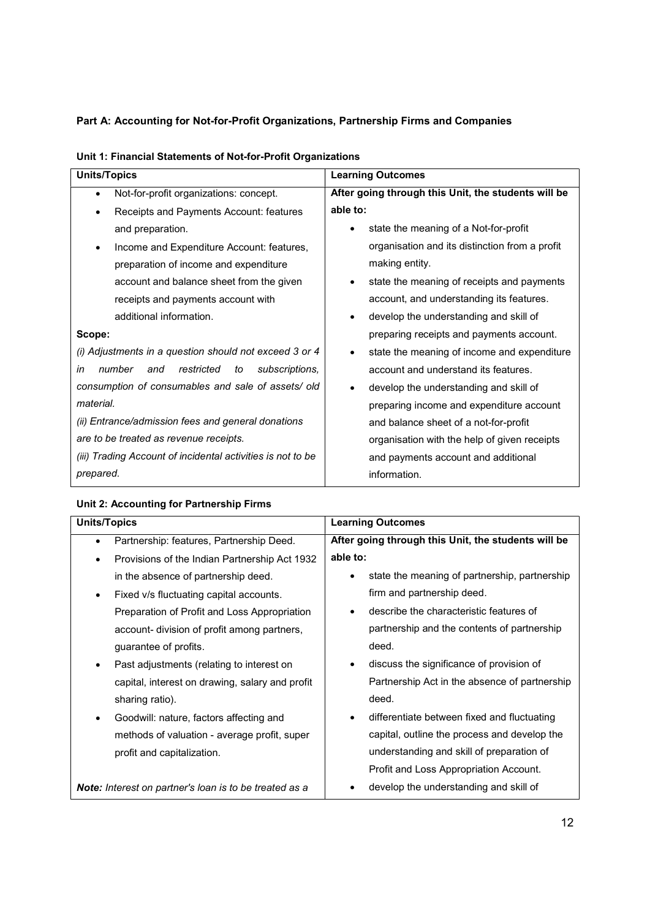## Part A: Accounting for Not-for-Profit Organizations, Partnership Firms and Companies

| <b>Units/Topics</b>                                         | <b>Learning Outcomes</b>                            |  |  |
|-------------------------------------------------------------|-----------------------------------------------------|--|--|
| Not-for-profit organizations: concept.<br>٠                 | After going through this Unit, the students will be |  |  |
| Receipts and Payments Account: features                     | able to:                                            |  |  |
| and preparation.                                            | state the meaning of a Not-for-profit               |  |  |
| Income and Expenditure Account: features,<br>٠              | organisation and its distinction from a profit      |  |  |
| preparation of income and expenditure                       | making entity.                                      |  |  |
| account and balance sheet from the given                    | state the meaning of receipts and payments          |  |  |
| receipts and payments account with                          | account, and understanding its features.            |  |  |
| additional information.                                     | develop the understanding and skill of<br>$\bullet$ |  |  |
| Scope:                                                      | preparing receipts and payments account.            |  |  |
| (i) Adjustments in a question should not exceed 3 or 4      | state the meaning of income and expenditure         |  |  |
| restricted<br>in<br>number<br>to<br>subscriptions.<br>and   | account and understand its features.                |  |  |
| consumption of consumables and sale of assets/old           | develop the understanding and skill of              |  |  |
| material.                                                   | preparing income and expenditure account            |  |  |
| (ii) Entrance/admission fees and general donations          | and balance sheet of a not-for-profit               |  |  |
| are to be treated as revenue receipts.                      | organisation with the help of given receipts        |  |  |
| (iii) Trading Account of incidental activities is not to be | and payments account and additional                 |  |  |
| prepared.                                                   | information.                                        |  |  |

## Unit 1: Financial Statements of Not-for-Profit Organizations

## Unit 2: Accounting for Partnership Firms

| <b>Units/Topics</b>                                           | <b>Learning Outcomes</b>                            |
|---------------------------------------------------------------|-----------------------------------------------------|
| Partnership: features, Partnership Deed.                      | After going through this Unit, the students will be |
| Provisions of the Indian Partnership Act 1932                 | able to:                                            |
| in the absence of partnership deed.                           | state the meaning of partnership, partnership       |
| Fixed v/s fluctuating capital accounts.                       | firm and partnership deed.                          |
| Preparation of Profit and Loss Appropriation                  | describe the characteristic features of             |
| account- division of profit among partners,                   | partnership and the contents of partnership         |
| guarantee of profits.                                         | deed.                                               |
| Past adjustments (relating to interest on                     | discuss the significance of provision of            |
| capital, interest on drawing, salary and profit               | Partnership Act in the absence of partnership       |
| sharing ratio).                                               | deed.                                               |
| Goodwill: nature, factors affecting and                       | differentiate between fixed and fluctuating         |
| methods of valuation - average profit, super                  | capital, outline the process and develop the        |
| profit and capitalization.                                    | understanding and skill of preparation of           |
|                                                               | Profit and Loss Appropriation Account.              |
| <b>Note:</b> Interest on partner's loan is to be treated as a | develop the understanding and skill of              |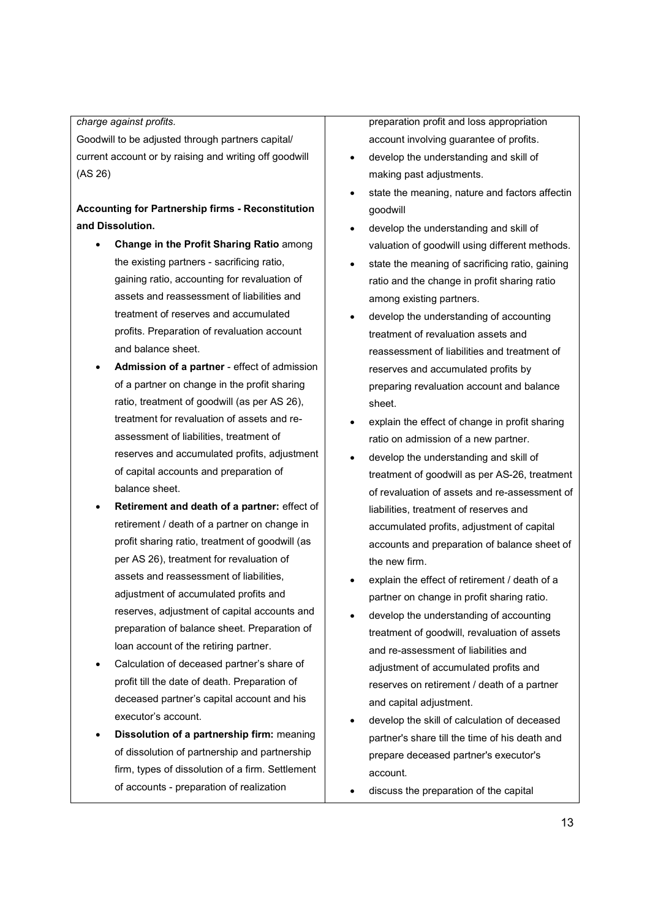#### charge against profits.

Goodwill to be adjusted through partners capital/ current account or by raising and writing off goodwill (AS 26)

## Accounting for Partnership firms - Reconstitution and Dissolution.

- Change in the Profit Sharing Ratio among the existing partners - sacrificing ratio, gaining ratio, accounting for revaluation of assets and reassessment of liabilities and treatment of reserves and accumulated profits. Preparation of revaluation account and balance sheet.
- Admission of a partner effect of admission of a partner on change in the profit sharing ratio, treatment of goodwill (as per AS 26), treatment for revaluation of assets and reassessment of liabilities, treatment of reserves and accumulated profits, adjustment of capital accounts and preparation of balance sheet.
- Retirement and death of a partner: effect of retirement / death of a partner on change in profit sharing ratio, treatment of goodwill (as per AS 26), treatment for revaluation of assets and reassessment of liabilities, adjustment of accumulated profits and reserves, adjustment of capital accounts and preparation of balance sheet. Preparation of loan account of the retiring partner.
- Calculation of deceased partner's share of profit till the date of death. Preparation of deceased partner's capital account and his executor's account.
- Dissolution of a partnership firm: meaning of dissolution of partnership and partnership firm, types of dissolution of a firm. Settlement of accounts - preparation of realization

preparation profit and loss appropriation account involving guarantee of profits.

- develop the understanding and skill of making past adjustments.
- state the meaning, nature and factors affectin goodwill
- develop the understanding and skill of valuation of goodwill using different methods.
- state the meaning of sacrificing ratio, gaining ratio and the change in profit sharing ratio among existing partners.
- develop the understanding of accounting treatment of revaluation assets and reassessment of liabilities and treatment of reserves and accumulated profits by preparing revaluation account and balance sheet.
- explain the effect of change in profit sharing ratio on admission of a new partner.
- develop the understanding and skill of treatment of goodwill as per AS-26, treatment of revaluation of assets and re-assessment of liabilities, treatment of reserves and accumulated profits, adjustment of capital accounts and preparation of balance sheet of the new firm.
- explain the effect of retirement / death of a partner on change in profit sharing ratio.
- develop the understanding of accounting treatment of goodwill, revaluation of assets and re-assessment of liabilities and adjustment of accumulated profits and reserves on retirement / death of a partner and capital adjustment.
- develop the skill of calculation of deceased partner's share till the time of his death and prepare deceased partner's executor's account.
- discuss the preparation of the capital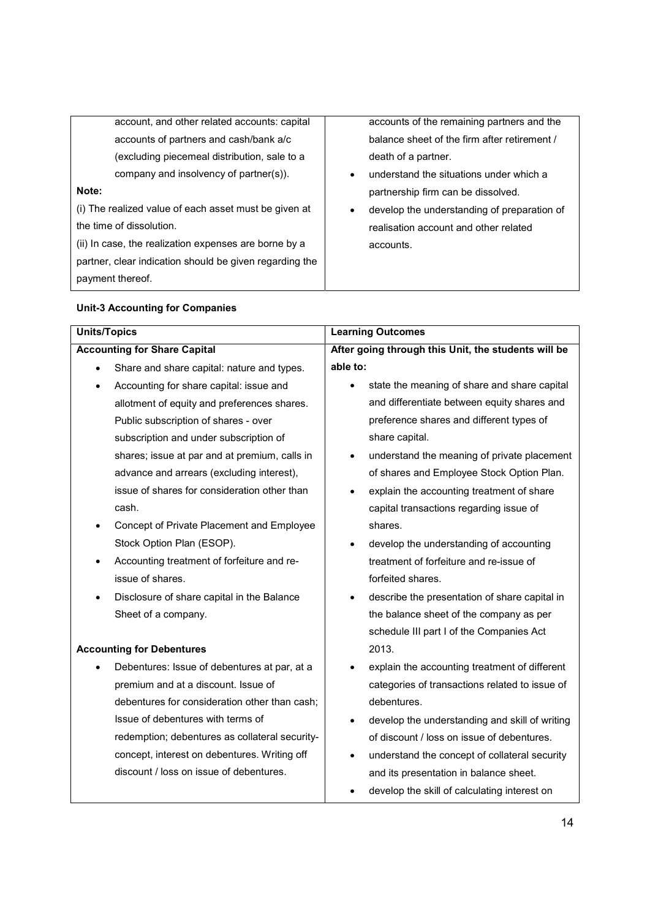| account, and other related accounts: capital            | accounts of the remaining partners and the       |
|---------------------------------------------------------|--------------------------------------------------|
| accounts of partners and cash/bank a/c                  | balance sheet of the firm after retirement /     |
| (excluding piecemeal distribution, sale to a            | death of a partner.                              |
| company and insolvency of partner(s)).                  | understand the situations under which a          |
| Note:                                                   | partnership firm can be dissolved.               |
| (i) The realized value of each asset must be given at   | develop the understanding of preparation of<br>٠ |
| the time of dissolution.                                | realisation account and other related            |
| (ii) In case, the realization expenses are borne by a   | accounts.                                        |
| partner, clear indication should be given regarding the |                                                  |
| payment thereof.                                        |                                                  |

## Unit-3 Accounting for Companies

| <b>Units/Topics</b>                 |                                                | <b>Learning Outcomes</b>                                    |  |  |
|-------------------------------------|------------------------------------------------|-------------------------------------------------------------|--|--|
| <b>Accounting for Share Capital</b> |                                                | After going through this Unit, the students will be         |  |  |
|                                     | Share and share capital: nature and types.     | able to:                                                    |  |  |
|                                     | Accounting for share capital: issue and        | state the meaning of share and share capital                |  |  |
|                                     | allotment of equity and preferences shares.    | and differentiate between equity shares and                 |  |  |
|                                     | Public subscription of shares - over           | preference shares and different types of                    |  |  |
|                                     | subscription and under subscription of         | share capital.                                              |  |  |
|                                     | shares; issue at par and at premium, calls in  | understand the meaning of private placement<br>$\bullet$    |  |  |
|                                     | advance and arrears (excluding interest),      | of shares and Employee Stock Option Plan.                   |  |  |
|                                     | issue of shares for consideration other than   | explain the accounting treatment of share                   |  |  |
|                                     | cash.                                          | capital transactions regarding issue of                     |  |  |
|                                     | Concept of Private Placement and Employee      | shares.                                                     |  |  |
|                                     | Stock Option Plan (ESOP).                      | develop the understanding of accounting<br>$\bullet$        |  |  |
|                                     | Accounting treatment of forfeiture and re-     | treatment of forfeiture and re-issue of                     |  |  |
|                                     | issue of shares.                               | forfeited shares.                                           |  |  |
|                                     | Disclosure of share capital in the Balance     | describe the presentation of share capital in<br>٠          |  |  |
|                                     | Sheet of a company.                            | the balance sheet of the company as per                     |  |  |
|                                     |                                                | schedule III part I of the Companies Act                    |  |  |
|                                     | <b>Accounting for Debentures</b>               | 2013.                                                       |  |  |
|                                     | Debentures: Issue of debentures at par, at a   | explain the accounting treatment of different<br>$\bullet$  |  |  |
|                                     | premium and at a discount. Issue of            | categories of transactions related to issue of              |  |  |
|                                     | debentures for consideration other than cash;  | debentures.                                                 |  |  |
|                                     | Issue of debentures with terms of              | develop the understanding and skill of writing<br>$\bullet$ |  |  |
|                                     | redemption; debentures as collateral security- | of discount / loss on issue of debentures.                  |  |  |
|                                     | concept, interest on debentures. Writing off   | understand the concept of collateral security<br>$\bullet$  |  |  |
|                                     | discount / loss on issue of debentures.        | and its presentation in balance sheet.                      |  |  |
|                                     |                                                | develop the skill of calculating interest on                |  |  |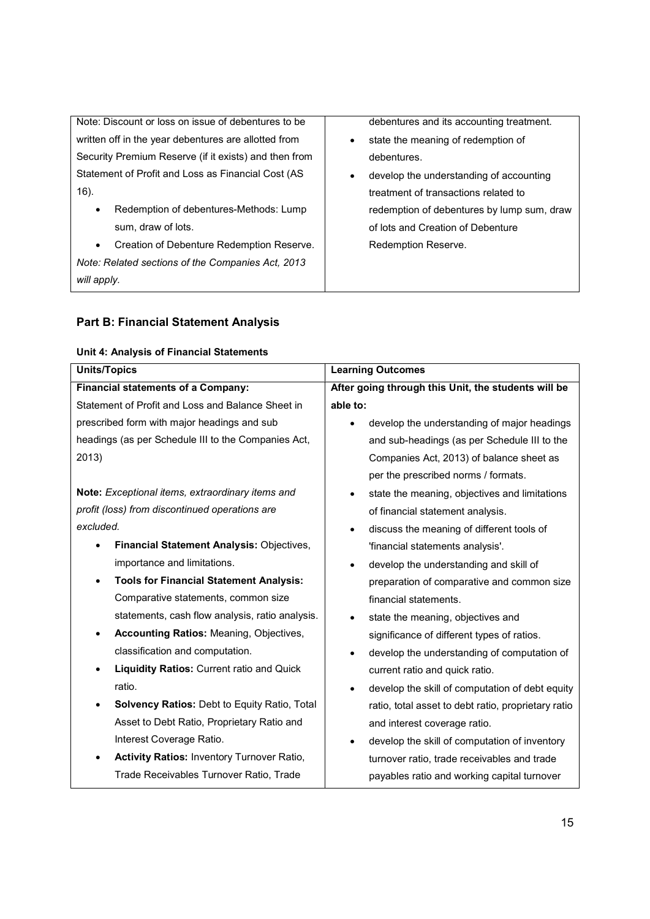Note: Discount or loss on issue of debentures to be written off in the year debentures are allotted from Security Premium Reserve (if it exists) and then from Statement of Profit and Loss as Financial Cost (AS 16).

 Redemption of debentures-Methods: Lump sum, draw of lots.

 Creation of Debenture Redemption Reserve. Note: Related sections of the Companies Act, 2013 will apply.

debentures and its accounting treatment.

- state the meaning of redemption of debentures.
- develop the understanding of accounting treatment of transactions related to redemption of debentures by lump sum, draw of lots and Creation of Debenture Redemption Reserve.

## Part B: Financial Statement Analysis

## Unit 4: Analysis of Financial Statements

| <b>Units/Topics</b>                                 | <b>Learning Outcomes</b>                                   |  |  |
|-----------------------------------------------------|------------------------------------------------------------|--|--|
| Financial statements of a Company:                  | After going through this Unit, the students will be        |  |  |
| Statement of Profit and Loss and Balance Sheet in   | able to:                                                   |  |  |
| prescribed form with major headings and sub         | develop the understanding of major headings                |  |  |
| headings (as per Schedule III to the Companies Act, | and sub-headings (as per Schedule III to the               |  |  |
| 2013)                                               | Companies Act, 2013) of balance sheet as                   |  |  |
|                                                     | per the prescribed norms / formats.                        |  |  |
| Note: Exceptional items, extraordinary items and    | state the meaning, objectives and limitations              |  |  |
| profit (loss) from discontinued operations are      | of financial statement analysis.                           |  |  |
| excluded.                                           | discuss the meaning of different tools of                  |  |  |
| Financial Statement Analysis: Objectives,           | 'financial statements analysis'.                           |  |  |
| importance and limitations.                         | develop the understanding and skill of                     |  |  |
| <b>Tools for Financial Statement Analysis:</b>      | preparation of comparative and common size                 |  |  |
| Comparative statements, common size                 | financial statements.                                      |  |  |
| statements, cash flow analysis, ratio analysis.     | state the meaning, objectives and                          |  |  |
| <b>Accounting Ratios: Meaning, Objectives,</b>      | significance of different types of ratios.                 |  |  |
| classification and computation.                     | develop the understanding of computation of                |  |  |
| <b>Liquidity Ratios: Current ratio and Quick</b>    | current ratio and quick ratio.                             |  |  |
| ratio.                                              | develop the skill of computation of debt equity            |  |  |
| <b>Solvency Ratios: Debt to Equity Ratio, Total</b> | ratio, total asset to debt ratio, proprietary ratio        |  |  |
| Asset to Debt Ratio, Proprietary Ratio and          | and interest coverage ratio.                               |  |  |
| Interest Coverage Ratio.                            | develop the skill of computation of inventory<br>$\bullet$ |  |  |
| <b>Activity Ratios: Inventory Turnover Ratio,</b>   | turnover ratio, trade receivables and trade                |  |  |
| Trade Receivables Turnover Ratio, Trade             | payables ratio and working capital turnover                |  |  |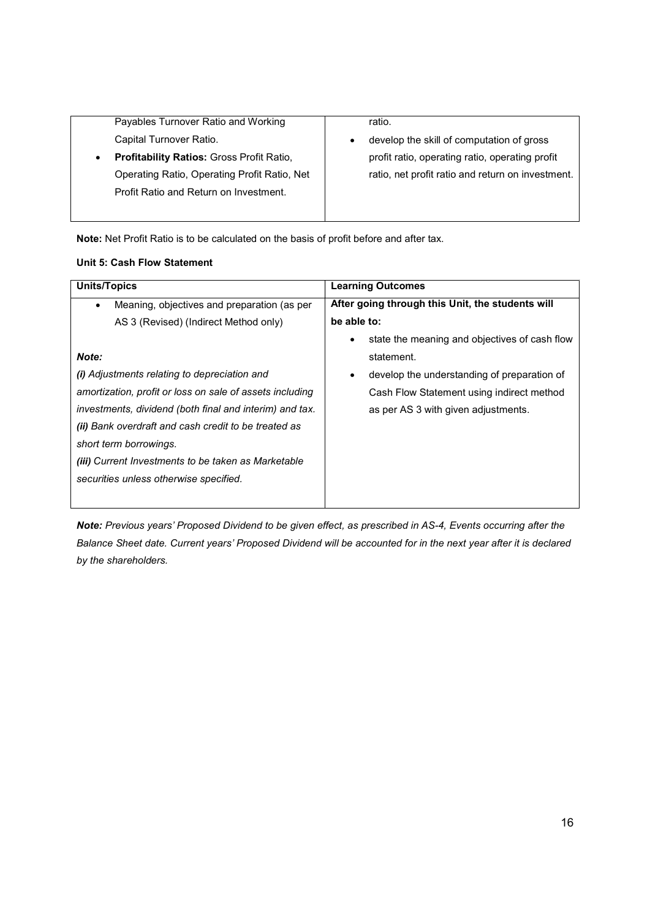Payables Turnover Ratio and Working Capital Turnover Ratio. Profitability Ratios: Gross Profit Ratio, Operating Ratio, Operating Profit Ratio, Net Profit Ratio and Return on Investment. ratio. develop the skill of computation of gross profit ratio, operating ratio, operating profit ratio, net profit ratio and return on investment.

Note: Net Profit Ratio is to be calculated on the basis of profit before and after tax.

## Unit 5: Cash Flow Statement

| <b>Units/Topics</b>                                        | <b>Learning Outcomes</b>                                   |  |  |
|------------------------------------------------------------|------------------------------------------------------------|--|--|
| Meaning, objectives and preparation (as per<br>$\bullet$   | After going through this Unit, the students will           |  |  |
| AS 3 (Revised) (Indirect Method only)                      | be able to:                                                |  |  |
|                                                            | state the meaning and objectives of cash flow<br>$\bullet$ |  |  |
| Note:                                                      | statement.                                                 |  |  |
| (i) Adjustments relating to depreciation and               | develop the understanding of preparation of<br>٠           |  |  |
| amortization, profit or loss on sale of assets including   | Cash Flow Statement using indirect method                  |  |  |
| investments, dividend (both final and interim) and tax.    | as per AS 3 with given adjustments.                        |  |  |
| (ii) Bank overdraft and cash credit to be treated as       |                                                            |  |  |
| short term borrowings.                                     |                                                            |  |  |
| <i>(iii)</i> Current Investments to be taken as Marketable |                                                            |  |  |
| securities unless otherwise specified.                     |                                                            |  |  |
|                                                            |                                                            |  |  |

Note: Previous years' Proposed Dividend to be given effect, as prescribed in AS-4, Events occurring after the Balance Sheet date. Current years' Proposed Dividend will be accounted for in the next year after it is declared by the shareholders.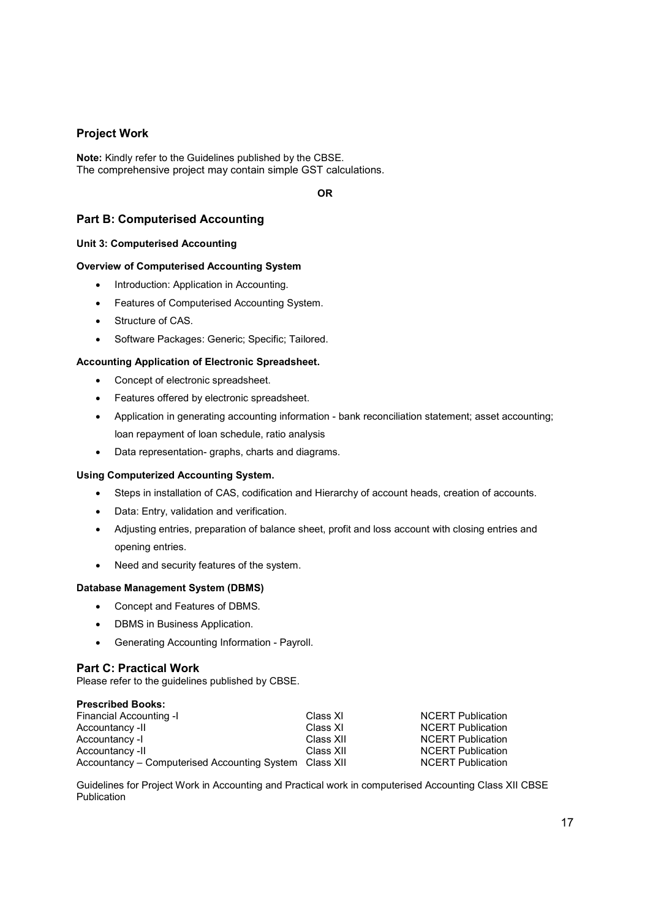## Project Work

Note: Kindly refer to the Guidelines published by the CBSE. The comprehensive project may contain simple GST calculations.

OR

## Part B: Computerised Accounting

#### Unit 3: Computerised Accounting

#### Overview of Computerised Accounting System

- Introduction: Application in Accounting.
- Features of Computerised Accounting System.
- **Structure of CAS.**
- Software Packages: Generic; Specific; Tailored.

#### Accounting Application of Electronic Spreadsheet.

- Concept of electronic spreadsheet.
- Features offered by electronic spreadsheet.
- Application in generating accounting information bank reconciliation statement; asset accounting; loan repayment of loan schedule, ratio analysis
- Data representation- graphs, charts and diagrams.

#### Using Computerized Accounting System.

- Steps in installation of CAS, codification and Hierarchy of account heads, creation of accounts.
- Data: Entry, validation and verification.
- Adjusting entries, preparation of balance sheet, profit and loss account with closing entries and opening entries.
- Need and security features of the system.

#### Database Management System (DBMS)

- Concept and Features of DBMS.
- DBMS in Business Application.
- Generating Accounting Information Payroll.

#### Part C: Practical Work

Prescribed Books:

Please refer to the guidelines published by CBSE.

| Prescribed Books:                                      |           |                          |
|--------------------------------------------------------|-----------|--------------------------|
| Financial Accounting -I                                | Class XI  | <b>NCERT Publication</b> |
| Accountancy -II                                        | Class XI  | <b>NCERT Publication</b> |
| Accountancy -I                                         | Class XII | <b>NCERT Publication</b> |
| Accountancy -II                                        | Class XII | <b>NCERT Publication</b> |
| Accountancy – Computerised Accounting System Class XII |           | <b>NCERT Publication</b> |

Guidelines for Project Work in Accounting and Practical work in computerised Accounting Class XII CBSE Publication